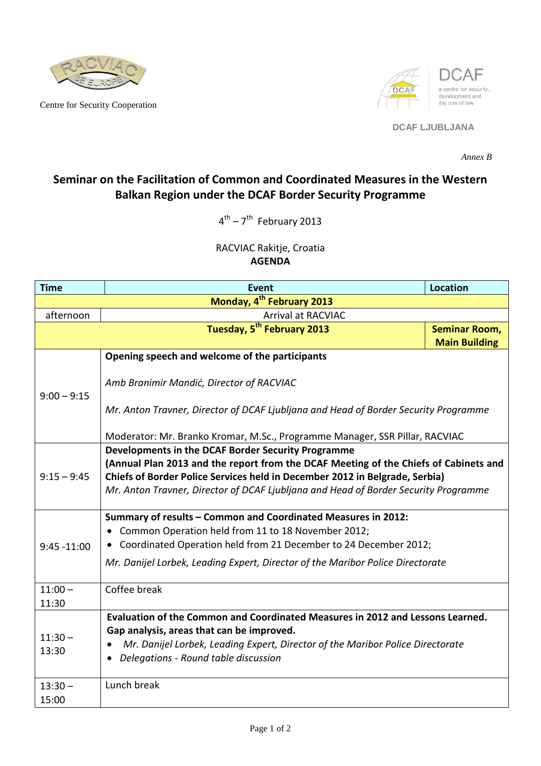

Centre for Security Cooperation



## **DCAF LJUBLJANA**

*Annex B*

## **Seminar on the Facilitation of Common and Coordinated Measures in the Western Balkan Region under the DCAF Border Security Programme**

 $4^{\text{th}}$  –  $7^{\text{th}}$  February 2013

RACVIAC Rakitje, Croatia **AGENDA**

| <b>Time</b>                           | <b>Event</b>                                                                                                                                                                                                                                                                                                     | <b>Location</b>      |  |
|---------------------------------------|------------------------------------------------------------------------------------------------------------------------------------------------------------------------------------------------------------------------------------------------------------------------------------------------------------------|----------------------|--|
| Monday, 4 <sup>th</sup> February 2013 |                                                                                                                                                                                                                                                                                                                  |                      |  |
| afternoon                             | <b>Arrival at RACVIAC</b>                                                                                                                                                                                                                                                                                        |                      |  |
|                                       | Tuesday, 5 <sup>th</sup> February 2013                                                                                                                                                                                                                                                                           | <b>Seminar Room,</b> |  |
|                                       |                                                                                                                                                                                                                                                                                                                  | <b>Main Building</b> |  |
| $9:00 - 9:15$                         | Opening speech and welcome of the participants                                                                                                                                                                                                                                                                   |                      |  |
|                                       | Amb Branimir Mandić, Director of RACVIAC                                                                                                                                                                                                                                                                         |                      |  |
|                                       | Mr. Anton Travner, Director of DCAF Ljubljana and Head of Border Security Programme                                                                                                                                                                                                                              |                      |  |
|                                       | Moderator: Mr. Branko Kromar, M.Sc., Programme Manager, SSR Pillar, RACVIAC                                                                                                                                                                                                                                      |                      |  |
| $9:15 - 9:45$                         | Developments in the DCAF Border Security Programme<br>(Annual Plan 2013 and the report from the DCAF Meeting of the Chiefs of Cabinets and<br>Chiefs of Border Police Services held in December 2012 in Belgrade, Serbia)<br>Mr. Anton Travner, Director of DCAF Ljubljana and Head of Border Security Programme |                      |  |
| $9:45 - 11:00$                        | Summary of results - Common and Coordinated Measures in 2012:<br>Common Operation held from 11 to 18 November 2012;<br>Coordinated Operation held from 21 December to 24 December 2012;<br>Mr. Danijel Lorbek, Leading Expert, Director of the Maribor Police Directorate                                        |                      |  |
| $11:00 -$<br>11:30                    | Coffee break                                                                                                                                                                                                                                                                                                     |                      |  |
| $11:30 -$<br>13:30                    | Evaluation of the Common and Coordinated Measures in 2012 and Lessons Learned.<br>Gap analysis, areas that can be improved.<br>Mr. Danijel Lorbek, Leading Expert, Director of the Maribor Police Directorate<br>Delegations - Round table discussion                                                            |                      |  |
| $13:30 -$<br>15:00                    | Lunch break                                                                                                                                                                                                                                                                                                      |                      |  |